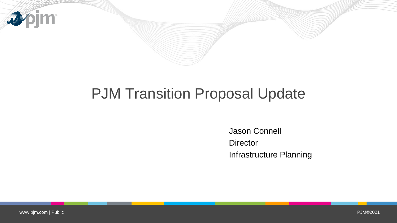

# PJM Transition Proposal Update

Jason Connell **Director** Infrastructure Planning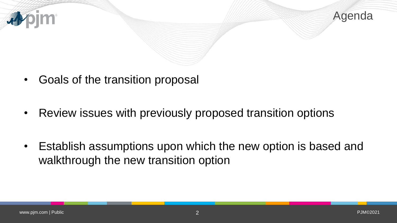

- Goals of the transition proposal
- Review issues with previously proposed transition options
- Establish assumptions upon which the new option is based and walkthrough the new transition option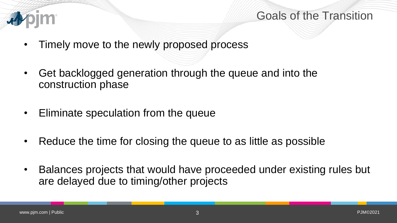

#### Goals of the Transition

- Timely move to the newly proposed process
- Get backlogged generation through the queue and into the construction phase
- Eliminate speculation from the queue
- Reduce the time for closing the queue to as little as possible
- Balances projects that would have proceeded under existing rules but are delayed due to timing/other projects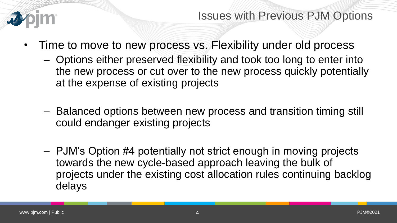

Issues with Previous PJM Options

- Time to move to new process vs. Flexibility under old process
	- Options either preserved flexibility and took too long to enter into the new process or cut over to the new process quickly potentially at the expense of existing projects
	- Balanced options between new process and transition timing still could endanger existing projects
	- PJM's Option #4 potentially not strict enough in moving projects towards the new cycle-based approach leaving the bulk of projects under the existing cost allocation rules continuing backlog delays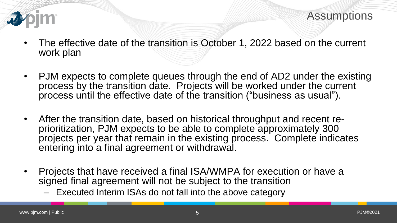

Assumptions

- The effective date of the transition is October 1, 2022 based on the current work plan
- PJM expects to complete queues through the end of AD2 under the existing process by the transition date. Projects will be worked under the current process until the effective date of the transition ("business as usual").
- After the transition date, based on historical throughput and recent reprioritization, PJM expects to be able to complete approximately 300 projects per year that remain in the existing process. Complete indicates entering into a final agreement or withdrawal.
- Projects that have received a final ISA/WMPA for execution or have a signed final agreement will not be subject to the transition
	- Executed Interim ISAs do not fall into the above category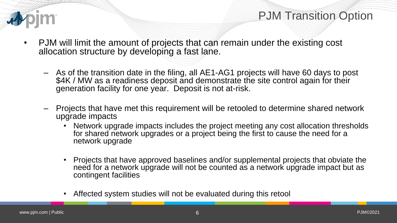

- PJM will limit the amount of projects that can remain under the existing cost allocation structure by developing a fast lane.
	- As of the transition date in the filing, all AE1-AG1 projects will have 60 days to post \$4K / MW as a readiness deposit and demonstrate the site control again for their generation facility for one year. Deposit is not at-risk.
	- Projects that have met this requirement will be retooled to determine shared network upgrade impacts
		- Network upgrade impacts includes the project meeting any cost allocation thresholds for shared network upgrades or a project being the first to cause the need for a network upgrade
		- Projects that have approved baselines and/or supplemental projects that obviate the need for a network upgrade will not be counted as a network upgrade impact but as contingent facilities
		- Affected system studies will not be evaluated during this retool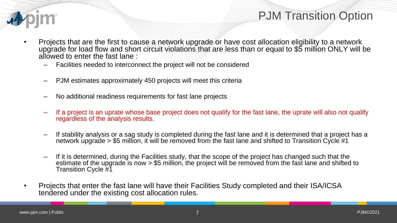

- Projects that are the first to cause a network upgrade or have cost allocation eligibility to a network upgrade for load flow and short circuit violations that are less than or equal to \$5 million ONLY will be allowed to enter the fast lane :
	- Facilities needed to interconnect the project will not be considered
	- PJM estimates approximately 450 projects will meet this criteria
	- No additional readiness requirements for fast lane projects
	- If a project is an uprate whose base project does not qualify for the fast lane, the uprate will also not qualify regardless of the analysis results.
	- If stability analysis or a sag study is completed during the fast lane and it is determined that a project has a network upgrade > \$5 million, it will be removed from the fast lane and shifted to Transition Cycle #1
	- If it is determined, during the Facilities study, that the scope of the project has changed such that the estimate of the upgrade is now > \$5 million, the project will be removed from the fast lane and shifted to Transition Cycle #1
- Projects that enter the fast lane will have their Facilities Study completed and their ISA/ICSA tendered under the existing cost allocation rules.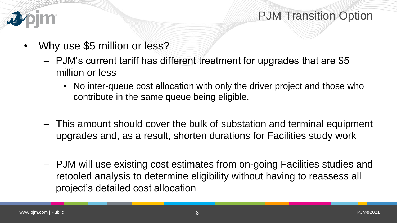

- Why use \$5 million or less?
	- PJM's current tariff has different treatment for upgrades that are \$5 million or less
		- No inter-queue cost allocation with only the driver project and those who contribute in the same queue being eligible.
	- This amount should cover the bulk of substation and terminal equipment upgrades and, as a result, shorten durations for Facilities study work
	- PJM will use existing cost estimates from on-going Facilities studies and retooled analysis to determine eligibility without having to reassess all project's detailed cost allocation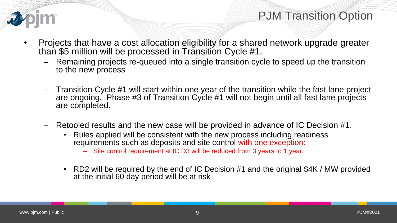

- Projects that have a cost allocation eligibility for a shared network upgrade greater than \$5 million will be processed in Transition Cycle #1.
	- Remaining projects re-queued into a single transition cycle to speed up the transition to the new process
	- Transition Cycle #1 will start within one year of the transition while the fast lane project are ongoing. Phase #3 of Transition Cycle #1 will not begin until all fast lane projects are completed.
	- Retooled results and the new case will be provided in advance of IC Decision #1.
		- Rules applied will be consistent with the new process including readiness requirements such as deposits and site control with one exception:
			- Site control requirement at IC D3 will be reduced from 3 years to 1 year.
		- RD2 will be required by the end of IC Decision #1 and the original \$4K / MW provided at the initial 60 day period will be at risk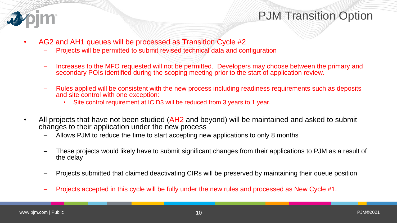

- AG2 and AH1 queues will be processed as Transition Cycle #2
	- Projects will be permitted to submit revised technical data and configuration
	- Increases to the MFO requested will not be permitted. Developers may choose between the primary and secondary POIs identified during the scoping meeting prior to the start of application review.
	- Rules applied will be consistent with the new process including readiness requirements such as deposits and site control with one exception:
		- Site control requirement at IC D3 will be reduced from 3 years to 1 year.
- All projects that have not been studied (AH2 and beyond) will be maintained and asked to submit changes to their application under the new process
	- Allows PJM to reduce the time to start accepting new applications to only 8 months
	- These projects would likely have to submit significant changes from their applications to PJM as a result of the delay
	- Projects submitted that claimed deactivating CIRs will be preserved by maintaining their queue position
	- Projects accepted in this cycle will be fully under the new rules and processed as New Cycle #1.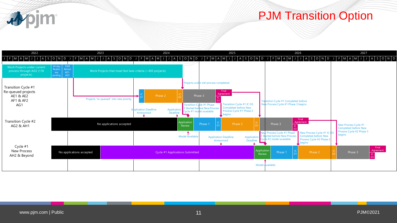

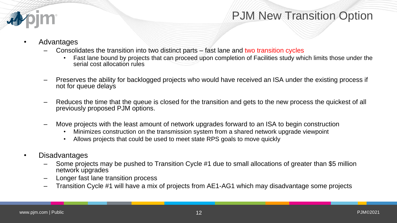

- Advantages
	- Consolidates the transition into two distinct parts fast lane and two transition cycles
		- Fast lane bound by projects that can proceed upon completion of Facilities study which limits those under the serial cost allocation rules
	- Preserves the ability for backlogged projects who would have received an ISA under the existing process if not for queue delays
	- Reduces the time that the queue is closed for the transition and gets to the new process the quickest of all previously proposed PJM options.
	- Move projects with the least amount of network upgrades forward to an ISA to begin construction
		- Minimizes construction on the transmission system from a shared network upgrade viewpoint
		- Allows projects that could be used to meet state RPS goals to move quickly
	- Disadvantages
		- Some projects may be pushed to Transition Cycle #1 due to small allocations of greater than \$5 million network upgrades
		- Longer fast lane transition process
		- Transition Cycle #1 will have a mix of projects from AE1-AG1 which may disadvantage some projects